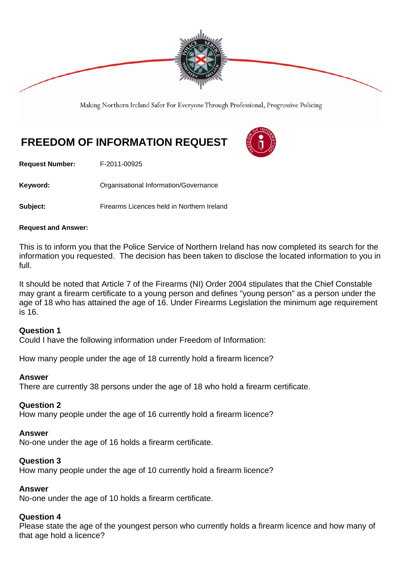

Making Northern Ireland Safer For Everyone Through Professional, Progressive Policing

# **FREEDOM OF INFORMATION REQUEST**



**Request Number:** F-2011-00925

Keyword: **Communistry Communists** Organisational Information/Governance

**Subject:** Firearms Licences held in Northern Ireland

#### **Request and Answer:**

This is to inform you that the Police Service of Northern Ireland has now completed its search for the information you requested. The decision has been taken to disclose the located information to you in full.

It should be noted that Article 7 of the Firearms (NI) Order 2004 stipulates that the Chief Constable may grant a firearm certificate to a young person and defines "young person" as a person under the age of 18 who has attained the age of 16. Under Firearms Legislation the minimum age requirement is 16.

## **Question 1**

Could I have the following information under Freedom of Information:

How many people under the age of 18 currently hold a firearm licence?

#### **Answer**

There are currently 38 persons under the age of 18 who hold a firearm certificate.

#### **Question 2**

How many people under the age of 16 currently hold a firearm licence?

#### **Answer**

No-one under the age of 16 holds a firearm certificate.

#### **Question 3**

How many people under the age of 10 currently hold a firearm licence?

#### **Answer**

No-one under the age of 10 holds a firearm certificate.

## **Question 4**

Please state the age of the youngest person who currently holds a firearm licence and how many of that age hold a licence?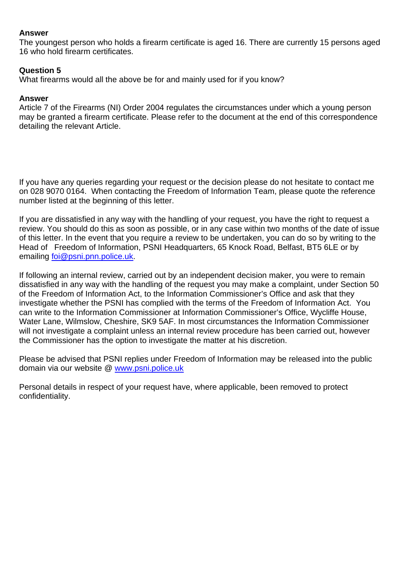## **Answer**

The youngest person who holds a firearm certificate is aged 16. There are currently 15 persons aged 16 who hold firearm certificates.

## **Question 5**

What firearms would all the above be for and mainly used for if you know?

## **Answer**

Article 7 of the Firearms (NI) Order 2004 regulates the circumstances under which a young person may be granted a firearm certificate. Please refer to the document at the end of this correspondence detailing the relevant Article.

If you have any queries regarding your request or the decision please do not hesitate to contact me on 028 9070 0164. When contacting the Freedom of Information Team, please quote the reference number listed at the beginning of this letter.

If you are dissatisfied in any way with the handling of your request, you have the right to request a review. You should do this as soon as possible, or in any case within two months of the date of issue of this letter. In the event that you require a review to be undertaken, you can do so by writing to the Head of Freedom of Information, PSNI Headquarters, 65 Knock Road, Belfast, BT5 6LE or by emailing foi@psni.pnn.police.uk.

If following an internal review, carried out by an independent decision maker, you were to remain dissatisfied in any way with the handling of the request you may make a complaint, under Section 50 of the Freedom of Information Act, to the Information Commissioner's Office and ask that they investigate whether the PSNI has complied with the terms of the Freedom of Information Act. You can write to the Information Commissioner at Information Commissioner's Office, Wycliffe House, Water Lane, Wilmslow, Cheshire, SK9 5AF. In most circumstances the Information Commissioner will not investigate a complaint unless an internal review procedure has been carried out, however the Commissioner has the option to investigate the matter at his discretion.

Please be advised that PSNI replies under Freedom of Information may be released into the public domain via our website @ www.psni.police.uk

Personal details in respect of your request have, where applicable, been removed to protect confidentiality.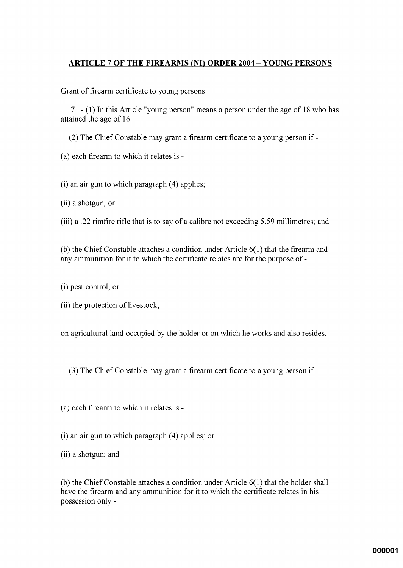## **ARTICLE 7 OF THE FIREARMS (NI) ORDER 2004 - YOUNG PERSONS**

Grant of firearm certificate to young persons

7. - (1) In this Article "young person" means a person under the age of 18 who has attained the age of 16.

(2) The Chief Constable may grant a firearm certificate to a young person if -

(a) each firearm to which it relates is -

 $(i)$  an air gun to which paragraph  $(4)$  applies;

(ii) a shotgun; or

(iii) a .22 rimfire rifle that is to say of a calibre not exceeding 5.59 millimetres; and

(b) the Chief Constable attaches a condition under Article  $6(1)$  that the firearm and any ammunition for it to which the certificate relates are for the purpose of -

(i) pest control; or

(ii) the protection of livestock;

on agricultural land occupied by the holder or on which he works and also resides.

(3) The Chief Constable may grant a firearm certificate to a young person if -

(a) each firearm to which it relates is -

 $(i)$  an air gun to which paragraph  $(4)$  applies; or

(ii) a shotgun; and

(b) the Chief Constable attaches a condition under Article  $6(1)$  that the holder shall have the firearm and any ammunition for it to which the certificate relates in his possession only -